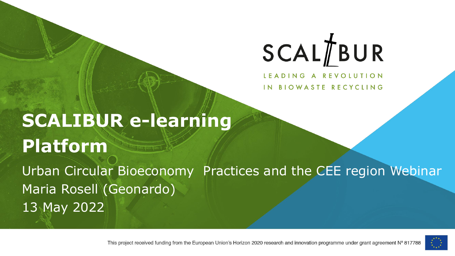# SCALTBUR

LEADING A REVOLUTION IN BIOWASTE RECYCLING

### **SCALIBUR e-learning Platform**  Urban Circular Bioeconomy Practices and the CEE region Webinar Maria Rosell (Geonardo) 13 May 2022



This project received funding from the European Union's Horizon 2020 research and innovation programme under grant agreement N° 817788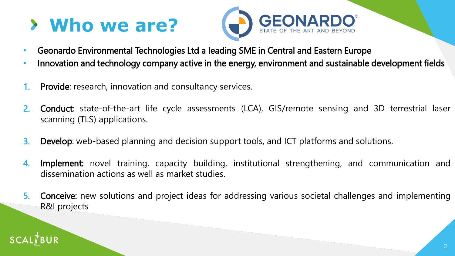### **Who we are?**



- Geonardo Environmental Technologies Ltd a leading SME in Central and Eastern Europe
- Innovation and technology company active in the energy, environment and sustainable development fields
- 1. Provide: research, innovation and consultancy services.
- 2. Conduct: state-of-the-art life cycle assessments (LCA), GIS/remote sensing and 3D terrestrial laser scanning (TLS) applications.
- 3. Develop: web-based planning and decision support tools, and ICT platforms and solutions.
- 4. Implement: novel training, capacity building, institutional strengthening, and communication and dissemination actions as well as market studies.
- 5. Conceive: new solutions and project ideas for addressing various societal challenges and implementing R&I projects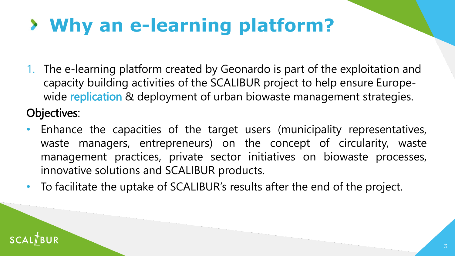# **Why an e-learning platform?**

- 1. The e-learning platform created by Geonardo is part of the exploitation and capacity building activities of the SCALIBUR project to help ensure Europewide replication & deployment of urban biowaste management strategies. Objectives:
- Enhance the capacities of the target users (municipality representatives, waste managers, entrepreneurs) on the concept of circularity, waste management practices, private sector initiatives on biowaste processes, innovative solutions and SCALIBUR products.
- To facilitate the uptake of SCALIBUR's results after the end of the project.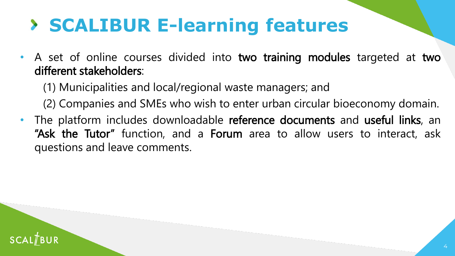#### **SCALIBUR E-learning features**

• A set of online courses divided into two training modules targeted at two different stakeholders:

(1) Municipalities and local/regional waste managers; and

(2) Companies and SMEs who wish to enter urban circular bioeconomy domain.

The platform includes downloadable reference documents and useful links, an "Ask the Tutor" function, and a Forum area to allow users to interact, ask questions and leave comments.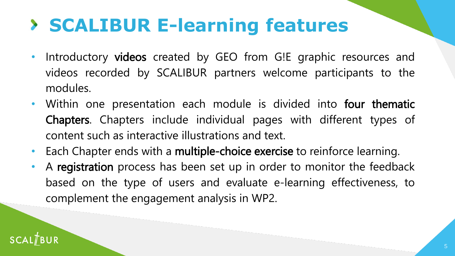#### **SCALIBUR E-learning features**

- Introductory videos created by GEO from G!E graphic resources and videos recorded by SCALIBUR partners welcome participants to the modules.
- Within one presentation each module is divided into four thematic Chapters. Chapters include individual pages with different types of content such as interactive illustrations and text.
- Each Chapter ends with a multiple-choice exercise to reinforce learning.
- A registration process has been set up in order to monitor the feedback based on the type of users and evaluate e-learning effectiveness, to complement the engagement analysis in WP2.

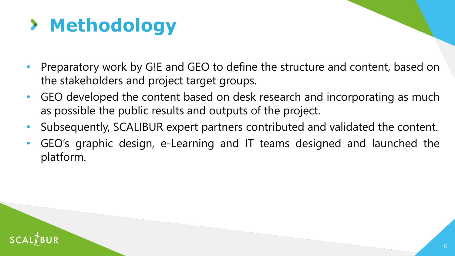## **Methodology**

- Preparatory work by G!E and GEO to define the structure and content, based on the stakeholders and project target groups.
- GEO developed the content based on desk research and incorporating as much as possible the public results and outputs of the project.
- Subsequently, SCALIBUR expert partners contributed and validated the content.
- GEO's graphic design, e-Learning and IT teams designed and launched the platform.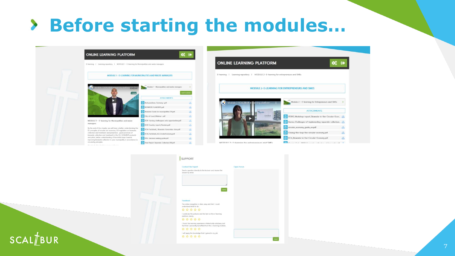#### > Before starting the modules...







#### **SCALTBUR**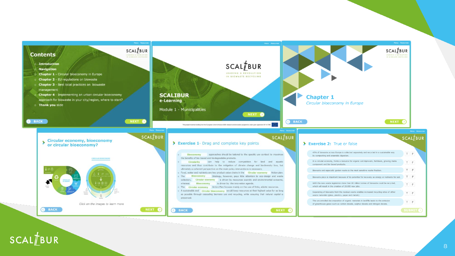

#### $SCAL/BUR$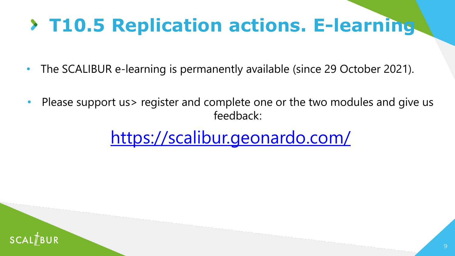### **T10.5 Replication actions. E-learning**

- The SCALIBUR e-learning is permanently available (since 29 October 2021).
- Please support us> register and complete one or the two modules and give us feedback:

<https://scalibur.geonardo.com/>